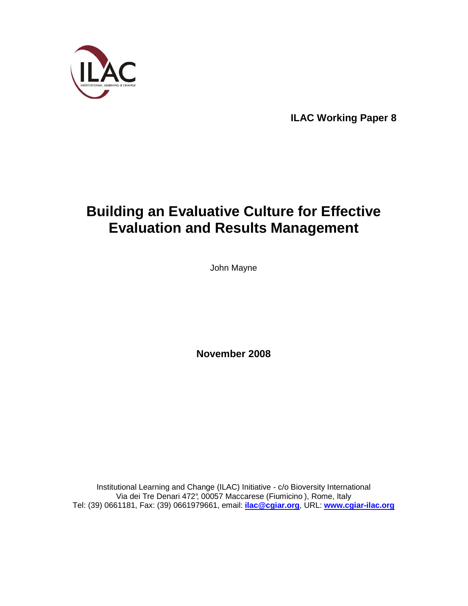

**ILAC Working Paper 8** 

# **Building an Evaluative Culture for Effective Evaluation and Results Management**

John Mayne

**November 2008** 

Institutional Learning and Change (ILAC) Initiative - c/o Bioversity International Via dei Tre Denari 472°, 00057 Maccarese (Fiumicino ), Rome, Italy Tel: (39) 0661181, Fax: (39) 0661979661, email: **ilac@cgiar.org**, URL: **www.cgiar-ilac.org**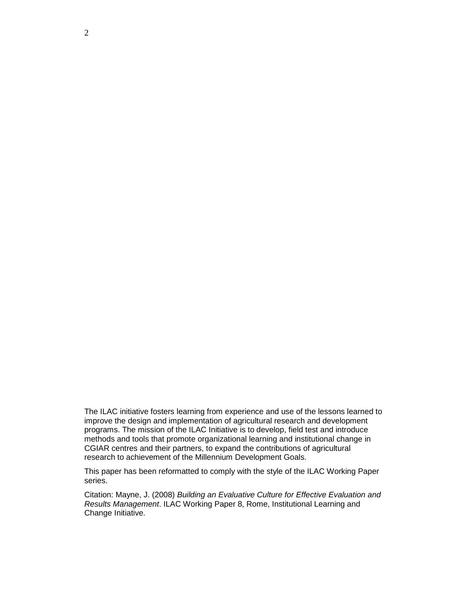The ILAC initiative fosters learning from experience and use of the lessons learned to improve the design and implementation of agricultural research and development programs. The mission of the ILAC Initiative is to develop, field test and introduce methods and tools that promote organizational learning and institutional change in CGIAR centres and their partners, to expand the contributions of agricultural research to achievement of the Millennium Development Goals.

This paper has been reformatted to comply with the style of the ILAC Working Paper series.

Citation: Mayne, J. (2008) Building an Evaluative Culture for Effective Evaluation and Results Management. ILAC Working Paper 8, Rome, Institutional Learning and Change Initiative.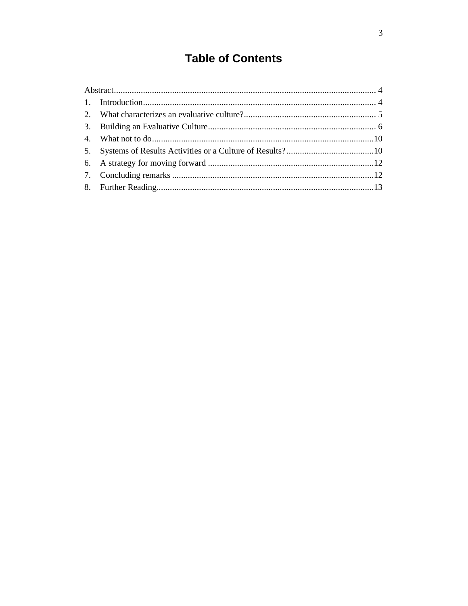# **Table of Contents**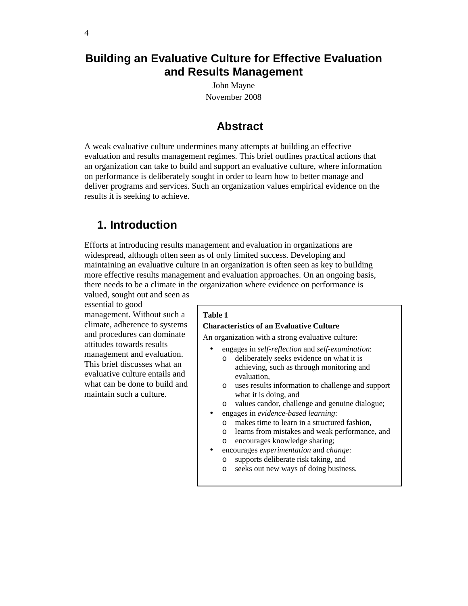# **Building an Evaluative Culture for Effective Evaluation and Results Management**

John Mayne November 2008

### **Abstract**

A weak evaluative culture undermines many attempts at building an effective evaluation and results management regimes. This brief outlines practical actions that an organization can take to build and support an evaluative culture, where information on performance is deliberately sought in order to learn how to better manage and deliver programs and services. Such an organization values empirical evidence on the results it is seeking to achieve.

# **1. Introduction**

Efforts at introducing results management and evaluation in organizations are widespread, although often seen as of only limited success. Developing and maintaining an evaluative culture in an organization is often seen as key to building more effective results management and evaluation approaches. On an ongoing basis, there needs to be a climate in the organization where evidence on performance is valued, sought out and seen as

essential to good management. Without such a

climate, adherence to systems and procedures can dominate attitudes towards results management and evaluation. This brief discusses what an evaluative culture entails and what can be done to build and maintain such a culture.

#### **Table 1**

#### **Characteristics of an Evaluative Culture**

An organization with a strong evaluative culture:

- engages in *self-reflection* and *self-examination*:
	- o deliberately seeks evidence on what it is achieving, such as through monitoring and evaluation,
	- o uses results information to challenge and support what it is doing, and
- o values candor, challenge and genuine dialogue;
- engages in *evidence-based learning*:
	- o makes time to learn in a structured fashion,
	- o learns from mistakes and weak performance, and
	- o encourages knowledge sharing;
- encourages *experimentation* and *change*:
	- o supports deliberate risk taking, and
	- o seeks out new ways of doing business.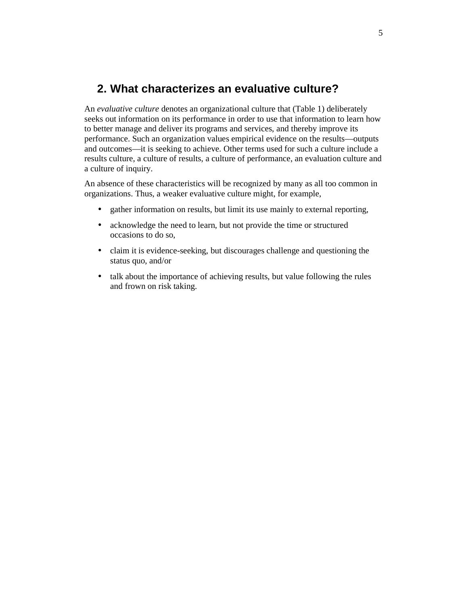# **2. What characterizes an evaluative culture?**

An *evaluative culture* denotes an organizational culture that (Table 1) deliberately seeks out information on its performance in order to use that information to learn how to better manage and deliver its programs and services, and thereby improve its performance. Such an organization values empirical evidence on the results—outputs and outcomes—it is seeking to achieve. Other terms used for such a culture include a results culture, a culture of results, a culture of performance, an evaluation culture and a culture of inquiry.

An absence of these characteristics will be recognized by many as all too common in organizations. Thus, a weaker evaluative culture might, for example,

- gather information on results, but limit its use mainly to external reporting,
- acknowledge the need to learn, but not provide the time or structured occasions to do so,
- claim it is evidence-seeking, but discourages challenge and questioning the status quo, and/or
- talk about the importance of achieving results, but value following the rules and frown on risk taking.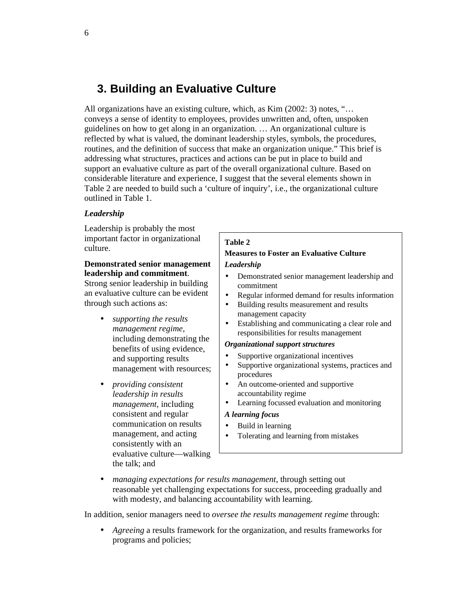# **3. Building an Evaluative Culture**

All organizations have an existing culture, which, as Kim (2002: 3) notes, "… conveys a sense of identity to employees, provides unwritten and, often, unspoken guidelines on how to get along in an organization. … An organizational culture is reflected by what is valued, the dominant leadership styles, symbols, the procedures, routines, and the definition of success that make an organization unique." This brief is addressing what structures, practices and actions can be put in place to build and support an evaluative culture as part of the overall organizational culture. Based on considerable literature and experience, I suggest that the several elements shown in Table 2 are needed to build such a 'culture of inquiry', i.e., the organizational culture outlined in Table 1.

#### *Leadership*

Leadership is probably the most important factor in organizational culture.

#### **Demonstrated senior management leadership and commitment**.

Strong senior leadership in building an evaluative culture can be evident through such actions as:

- *supporting the results management regime*, including demonstrating the benefits of using evidence, and supporting results management with resources;
- *providing consistent leadership in results management*, including consistent and regular communication on results management, and acting consistently with an evaluative culture—walking the talk; and

#### **Table 2**

#### **Measures to Foster an Evaluative Culture**  *Leadership*

- Demonstrated senior management leadership and commitment
- Regular informed demand for results information
- Building results measurement and results management capacity
- Establishing and communicating a clear role and responsibilities for results management

#### *Organizational support structures*

- Supportive organizational incentives
- Supportive organizational systems, practices and procedures
- An outcome-oriented and supportive accountability regime
- Learning focussed evaluation and monitoring

#### *A learning focus*

- Build in learning
- Tolerating and learning from mistakes
- *managing expectations for results management*, through setting out reasonable yet challenging expectations for success, proceeding gradually and with modesty, and balancing accountability with learning.

In addition, senior managers need to *oversee the results management regime* through:

• *Agreeing* a results framework for the organization, and results frameworks for programs and policies;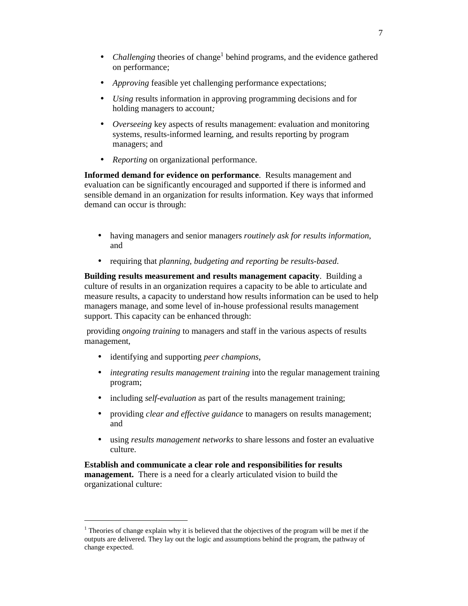- *Challenging* theories of change<sup>1</sup> behind programs, and the evidence gathered on performance;
- *Approving* feasible yet challenging performance expectations;
- *Using* results information in approving programming decisions and for holding managers to account*;*
- *Overseeing* key aspects of results management: evaluation and monitoring systems, results-informed learning, and results reporting by program managers; and
- *Reporting* on organizational performance.

**Informed demand for evidence on performance**. Results management and evaluation can be significantly encouraged and supported if there is informed and sensible demand in an organization for results information. Key ways that informed demand can occur is through:

- having managers and senior managers *routinely ask for results information*, and
- requiring that *planning, budgeting and reporting be results-based*.

**Building results measurement and results management capacity**. Building a culture of results in an organization requires a capacity to be able to articulate and measure results, a capacity to understand how results information can be used to help managers manage, and some level of in-house professional results management support. This capacity can be enhanced through:

 providing *ongoing training* to managers and staff in the various aspects of results management,

• identifying and supporting *peer champions*,

 $\overline{a}$ 

- *integrating results management training* into the regular management training program;
- including *self-evaluation* as part of the results management training;
- providing *clear and effective guidance* to managers on results management; and
- using *results management networks* to share lessons and foster an evaluative culture.

**Establish and communicate a clear role and responsibilities for results management.** There is a need for a clearly articulated vision to build the organizational culture:

 $1$ <sup>1</sup> Theories of change explain why it is believed that the objectives of the program will be met if the outputs are delivered. They lay out the logic and assumptions behind the program, the pathway of change expected.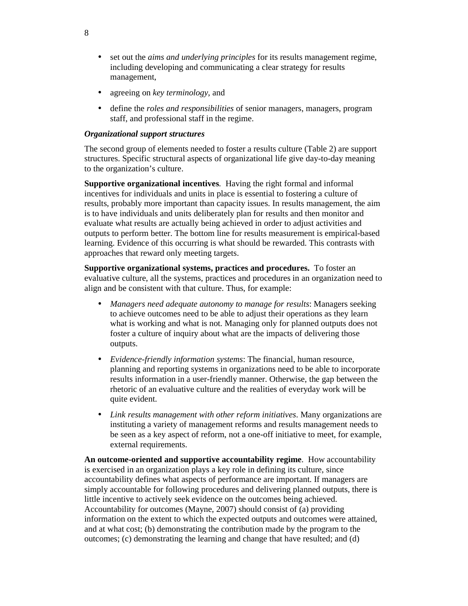- set out the *aims and underlying principles* for its results management regime, including developing and communicating a clear strategy for results management,
- agreeing on *key terminology*, and
- define the *roles and responsibilities* of senior managers, managers, program staff, and professional staff in the regime.

#### *Organizational support structures*

The second group of elements needed to foster a results culture (Table 2) are support structures. Specific structural aspects of organizational life give day-to-day meaning to the organization's culture.

**Supportive organizational incentives**. Having the right formal and informal incentives for individuals and units in place is essential to fostering a culture of results, probably more important than capacity issues. In results management, the aim is to have individuals and units deliberately plan for results and then monitor and evaluate what results are actually being achieved in order to adjust activities and outputs to perform better. The bottom line for results measurement is empirical-based learning. Evidence of this occurring is what should be rewarded. This contrasts with approaches that reward only meeting targets.

**Supportive organizational systems, practices and procedures.** To foster an evaluative culture, all the systems, practices and procedures in an organization need to align and be consistent with that culture. Thus, for example:

- *Managers need adequate autonomy to manage for results*: Managers seeking to achieve outcomes need to be able to adjust their operations as they learn what is working and what is not. Managing only for planned outputs does not foster a culture of inquiry about what are the impacts of delivering those outputs.
- *Evidence-friendly information systems*: The financial, human resource, planning and reporting systems in organizations need to be able to incorporate results information in a user-friendly manner. Otherwise, the gap between the rhetoric of an evaluative culture and the realities of everyday work will be quite evident.
- *Link results management with other reform initiatives*. Many organizations are instituting a variety of management reforms and results management needs to be seen as a key aspect of reform, not a one-off initiative to meet, for example, external requirements.

**An outcome-oriented and supportive accountability regime**. How accountability is exercised in an organization plays a key role in defining its culture, since accountability defines what aspects of performance are important. If managers are simply accountable for following procedures and delivering planned outputs, there is little incentive to actively seek evidence on the outcomes being achieved. Accountability for outcomes (Mayne, 2007) should consist of (a) providing information on the extent to which the expected outputs and outcomes were attained, and at what cost; (b) demonstrating the contribution made by the program to the outcomes; (c) demonstrating the learning and change that have resulted; and (d)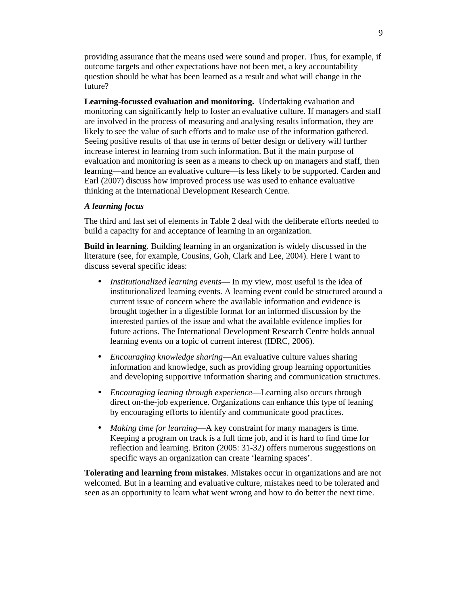providing assurance that the means used were sound and proper. Thus, for example, if outcome targets and other expectations have not been met, a key accountability question should be what has been learned as a result and what will change in the future?

**Learning-focussed evaluation and monitoring.** Undertaking evaluation and monitoring can significantly help to foster an evaluative culture. If managers and staff are involved in the process of measuring and analysing results information, they are likely to see the value of such efforts and to make use of the information gathered. Seeing positive results of that use in terms of better design or delivery will further increase interest in learning from such information. But if the main purpose of evaluation and monitoring is seen as a means to check up on managers and staff, then learning—and hence an evaluative culture—is less likely to be supported. Carden and Earl (2007) discuss how improved process use was used to enhance evaluative thinking at the International Development Research Centre.

#### *A learning focus*

The third and last set of elements in Table 2 deal with the deliberate efforts needed to build a capacity for and acceptance of learning in an organization.

**Build in learning**. Building learning in an organization is widely discussed in the literature (see, for example, Cousins, Goh, Clark and Lee, 2004). Here I want to discuss several specific ideas:

- *Institutionalized learning events* In my view, most useful is the idea of institutionalized learning events. A learning event could be structured around a current issue of concern where the available information and evidence is brought together in a digestible format for an informed discussion by the interested parties of the issue and what the available evidence implies for future actions. The International Development Research Centre holds annual learning events on a topic of current interest (IDRC, 2006).
- *Encouraging knowledge sharing*—An evaluative culture values sharing information and knowledge, such as providing group learning opportunities and developing supportive information sharing and communication structures.
- *Encouraging leaning through experience*—Learning also occurs through direct on-the-job experience. Organizations can enhance this type of leaning by encouraging efforts to identify and communicate good practices.
- *Making time for learning*—A key constraint for many managers is time. Keeping a program on track is a full time job, and it is hard to find time for reflection and learning. Briton (2005: 31-32) offers numerous suggestions on specific ways an organization can create 'learning spaces'.

**Tolerating and learning from mistakes**. Mistakes occur in organizations and are not welcomed. But in a learning and evaluative culture, mistakes need to be tolerated and seen as an opportunity to learn what went wrong and how to do better the next time.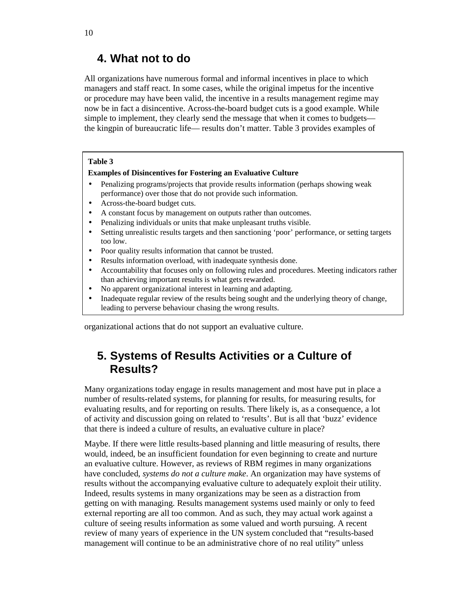### **4. What not to do**

All organizations have numerous formal and informal incentives in place to which managers and staff react. In some cases, while the original impetus for the incentive or procedure may have been valid, the incentive in a results management regime may now be in fact a disincentive. Across-the-board budget cuts is a good example. While simple to implement, they clearly send the message that when it comes to budgets the kingpin of bureaucratic life— results don't matter. Table 3 provides examples of

#### **Table 3**

#### **Examples of Disincentives for Fostering an Evaluative Culture**

- Penalizing programs/projects that provide results information (perhaps showing weak performance) over those that do not provide such information.
- Across-the-board budget cuts.
- A constant focus by management on outputs rather than outcomes.
- Penalizing individuals or units that make unpleasant truths visible.
- Setting unrealistic results targets and then sanctioning 'poor' performance, or setting targets too low.
- Poor quality results information that cannot be trusted.
- Results information overload, with inadequate synthesis done.
- Accountability that focuses only on following rules and procedures. Meeting indicators rather than achieving important results is what gets rewarded.
- No apparent organizational interest in learning and adapting.
- Inadequate regular review of the results being sought and the underlying theory of change, leading to perverse behaviour chasing the wrong results.

organizational actions that do not support an evaluative culture.

# **5. Systems of Results Activities or a Culture of Results?**

Many organizations today engage in results management and most have put in place a number of results-related systems, for planning for results, for measuring results, for evaluating results, and for reporting on results. There likely is, as a consequence, a lot of activity and discussion going on related to 'results'. But is all that 'buzz' evidence that there is indeed a culture of results, an evaluative culture in place?

Maybe. If there were little results-based planning and little measuring of results, there would, indeed, be an insufficient foundation for even beginning to create and nurture an evaluative culture. However, as reviews of RBM regimes in many organizations have concluded, *systems do not a culture make*. An organization may have systems of results without the accompanying evaluative culture to adequately exploit their utility. Indeed, results systems in many organizations may be seen as a distraction from getting on with managing. Results management systems used mainly or only to feed external reporting are all too common. And as such, they may actual work against a culture of seeing results information as some valued and worth pursuing. A recent review of many years of experience in the UN system concluded that "results-based management will continue to be an administrative chore of no real utility" unless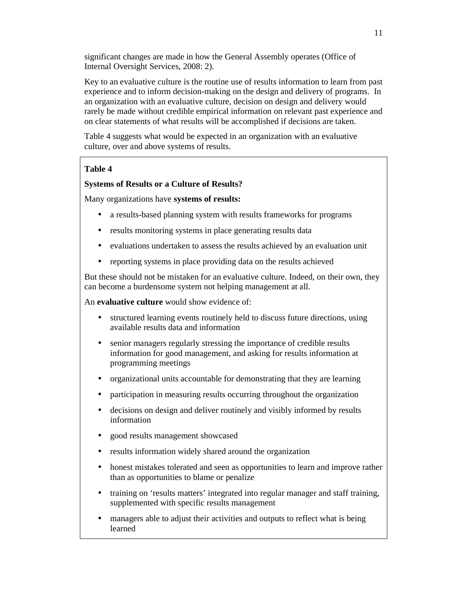significant changes are made in how the General Assembly operates (Office of Internal Oversight Services, 2008: 2).

Key to an evaluative culture is the routine use of results information to learn from past experience and to inform decision-making on the design and delivery of programs. In an organization with an evaluative culture, decision on design and delivery would rarely be made without credible empirical information on relevant past experience and on clear statements of what results will be accomplished if decisions are taken.

Table 4 suggests what would be expected in an organization with an evaluative culture, over and above systems of results.

#### **Table 4**

#### **Systems of Results or a Culture of Results?**

Many organizations have **systems of results:** 

- a results-based planning system with results frameworks for programs
- results monitoring systems in place generating results data
- evaluations undertaken to assess the results achieved by an evaluation unit
- reporting systems in place providing data on the results achieved

But these should not be mistaken for an evaluative culture. Indeed, on their own, they can become a burdensome system not helping management at all.

An **evaluative culture** would show evidence of:

- structured learning events routinely held to discuss future directions, using available results data and information
- senior managers regularly stressing the importance of credible results information for good management, and asking for results information at programming meetings
- organizational units accountable for demonstrating that they are learning
- participation in measuring results occurring throughout the organization
- decisions on design and deliver routinely and visibly informed by results information
- good results management showcased
- results information widely shared around the organization
- honest mistakes tolerated and seen as opportunities to learn and improve rather than as opportunities to blame or penalize
- training on 'results matters' integrated into regular manager and staff training, supplemented with specific results management
- managers able to adjust their activities and outputs to reflect what is being learned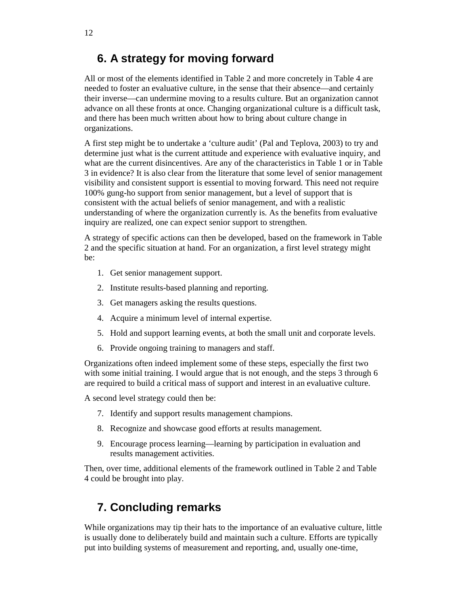# **6. A strategy for moving forward**

All or most of the elements identified in Table 2 and more concretely in Table 4 are needed to foster an evaluative culture, in the sense that their absence—and certainly their inverse—can undermine moving to a results culture. But an organization cannot advance on all these fronts at once. Changing organizational culture is a difficult task, and there has been much written about how to bring about culture change in organizations.

A first step might be to undertake a 'culture audit' (Pal and Teplova, 2003) to try and determine just what is the current attitude and experience with evaluative inquiry, and what are the current disincentives. Are any of the characteristics in Table 1 or in Table 3 in evidence? It is also clear from the literature that some level of senior management visibility and consistent support is essential to moving forward. This need not require 100% gung-ho support from senior management, but a level of support that is consistent with the actual beliefs of senior management, and with a realistic understanding of where the organization currently is. As the benefits from evaluative inquiry are realized, one can expect senior support to strengthen.

A strategy of specific actions can then be developed, based on the framework in Table 2 and the specific situation at hand. For an organization, a first level strategy might be:

- 1. Get senior management support.
- 2. Institute results-based planning and reporting.
- 3. Get managers asking the results questions.
- 4. Acquire a minimum level of internal expertise.
- 5. Hold and support learning events, at both the small unit and corporate levels.
- 6. Provide ongoing training to managers and staff.

Organizations often indeed implement some of these steps, especially the first two with some initial training. I would argue that is not enough, and the steps 3 through 6 are required to build a critical mass of support and interest in an evaluative culture.

A second level strategy could then be:

- 7. Identify and support results management champions.
- 8. Recognize and showcase good efforts at results management.
- 9. Encourage process learning—learning by participation in evaluation and results management activities.

Then, over time, additional elements of the framework outlined in Table 2 and Table 4 could be brought into play.

# **7. Concluding remarks**

While organizations may tip their hats to the importance of an evaluative culture, little is usually done to deliberately build and maintain such a culture. Efforts are typically put into building systems of measurement and reporting, and, usually one-time,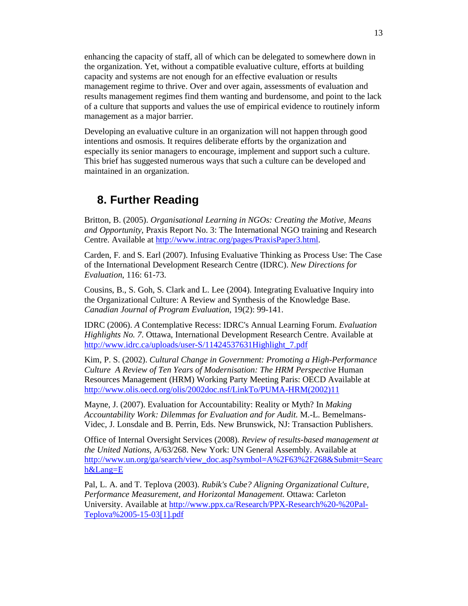enhancing the capacity of staff, all of which can be delegated to somewhere down in the organization. Yet, without a compatible evaluative culture, efforts at building capacity and systems are not enough for an effective evaluation or results management regime to thrive. Over and over again, assessments of evaluation and results management regimes find them wanting and burdensome, and point to the lack of a culture that supports and values the use of empirical evidence to routinely inform management as a major barrier.

Developing an evaluative culture in an organization will not happen through good intentions and osmosis. It requires deliberate efforts by the organization and especially its senior managers to encourage, implement and support such a culture. This brief has suggested numerous ways that such a culture can be developed and maintained in an organization.

# **8. Further Reading**

Britton, B. (2005). *Organisational Learning in NGOs: Creating the Motive, Means and Opportunity*, Praxis Report No. 3: The International NGO training and Research Centre. Available at http://www.intrac.org/pages/PraxisPaper3.html.

Carden, F. and S. Earl (2007). Infusing Evaluative Thinking as Process Use: The Case of the International Development Research Centre (IDRC). *New Directions for Evaluation*, 116: 61-73.

Cousins, B., S. Goh, S. Clark and L. Lee (2004). Integrating Evaluative Inquiry into the Organizational Culture: A Review and Synthesis of the Knowledge Base. *Canadian Journal of Program Evaluation*, 19(2): 99-141.

IDRC (2006). *A* Contemplative Recess: IDRC's Annual Learning Forum. *Evaluation Highlights No. 7*. Ottawa, International Development Research Centre. Available at http://www.idrc.ca/uploads/user-S/11424537631Highlight\_7.pdf

Kim, P. S. (2002). *Cultural Change in Government: Promoting a High-Performance Culture A Review of Ten Years of Modernisation: The HRM Perspective* Human Resources Management (HRM) Working Party Meeting Paris: OECD Available at http://www.olis.oecd.org/olis/2002doc.nsf/LinkTo/PUMA-HRM(2002)11

Mayne, J. (2007). Evaluation for Accountability: Reality or Myth? In *Making Accountability Work: Dilemmas for Evaluation and for Audit*. M.-L. Bemelmans-Videc, J. Lonsdale and B. Perrin, Eds. New Brunswick, NJ: Transaction Publishers.

Office of Internal Oversight Services (2008). *Review of results-based management at the United Nations*, A/63/268. New York: UN General Assembly. Available at http://www.un.org/ga/search/view\_doc.asp?symbol=A%2F63%2F268&Submit=Searc h&Lang=E

Pal, L. A. and T. Teplova (2003). *Rubik's Cube? Aligning Organizational Culture, Performance Measurement, and Horizontal Management*. Ottawa: Carleton University. Available at http://www.ppx.ca/Research/PPX-Research%20-%20Pal-Teplova%2005-15-03[1].pdf